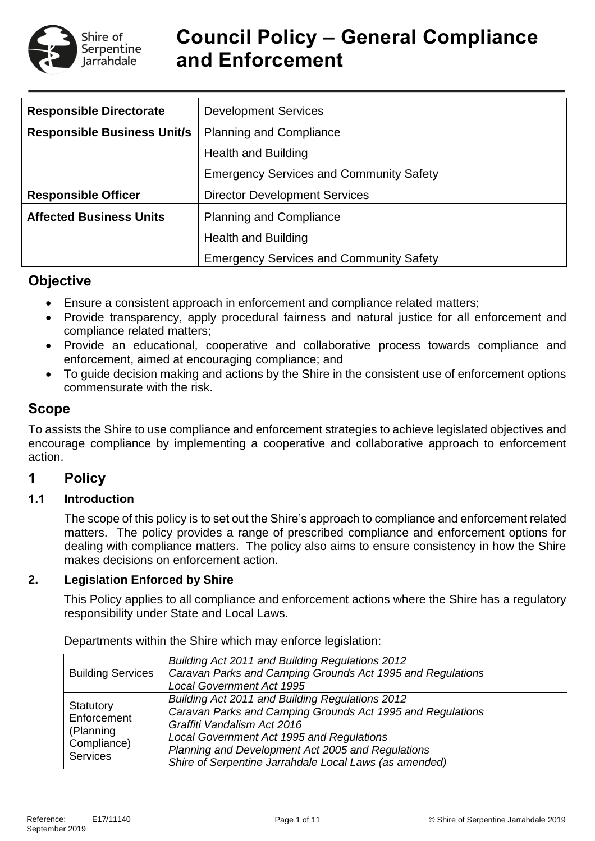

# **Council Policy – General Compliance and Enforcement**

| <b>Responsible Directorate</b>     | <b>Development Services</b>                    |  |  |  |  |
|------------------------------------|------------------------------------------------|--|--|--|--|
| <b>Responsible Business Unit/s</b> | <b>Planning and Compliance</b>                 |  |  |  |  |
|                                    | <b>Health and Building</b>                     |  |  |  |  |
|                                    | <b>Emergency Services and Community Safety</b> |  |  |  |  |
| <b>Responsible Officer</b>         | <b>Director Development Services</b>           |  |  |  |  |
| <b>Affected Business Units</b>     | <b>Planning and Compliance</b>                 |  |  |  |  |
|                                    | <b>Health and Building</b>                     |  |  |  |  |
|                                    | <b>Emergency Services and Community Safety</b> |  |  |  |  |

## **Objective**

- Ensure a consistent approach in enforcement and compliance related matters;
- Provide transparency, apply procedural fairness and natural justice for all enforcement and compliance related matters;
- Provide an educational, cooperative and collaborative process towards compliance and enforcement, aimed at encouraging compliance; and
- To guide decision making and actions by the Shire in the consistent use of enforcement options commensurate with the risk.

## **Scope**

To assists the Shire to use compliance and enforcement strategies to achieve legislated objectives and encourage compliance by implementing a cooperative and collaborative approach to enforcement action.

## **1 Policy**

## **1.1 Introduction**

The scope of this policy is to set out the Shire's approach to compliance and enforcement related matters. The policy provides a range of prescribed compliance and enforcement options for dealing with compliance matters. The policy also aims to ensure consistency in how the Shire makes decisions on enforcement action.

#### **2. Legislation Enforced by Shire**

This Policy applies to all compliance and enforcement actions where the Shire has a regulatory responsibility under State and Local Laws.

Departments within the Shire which may enforce legislation:

| <b>Building Services</b>                                         | Building Act 2011 and Building Regulations 2012<br>Caravan Parks and Camping Grounds Act 1995 and Regulations<br><b>Local Government Act 1995</b>                                                                                                                                                        |
|------------------------------------------------------------------|----------------------------------------------------------------------------------------------------------------------------------------------------------------------------------------------------------------------------------------------------------------------------------------------------------|
| Statutory<br>Enforcement<br>(Planning<br>Compliance)<br>Services | Building Act 2011 and Building Regulations 2012<br>Caravan Parks and Camping Grounds Act 1995 and Regulations<br>Graffiti Vandalism Act 2016<br>Local Government Act 1995 and Regulations<br>Planning and Development Act 2005 and Regulations<br>Shire of Serpentine Jarrahdale Local Laws (as amended) |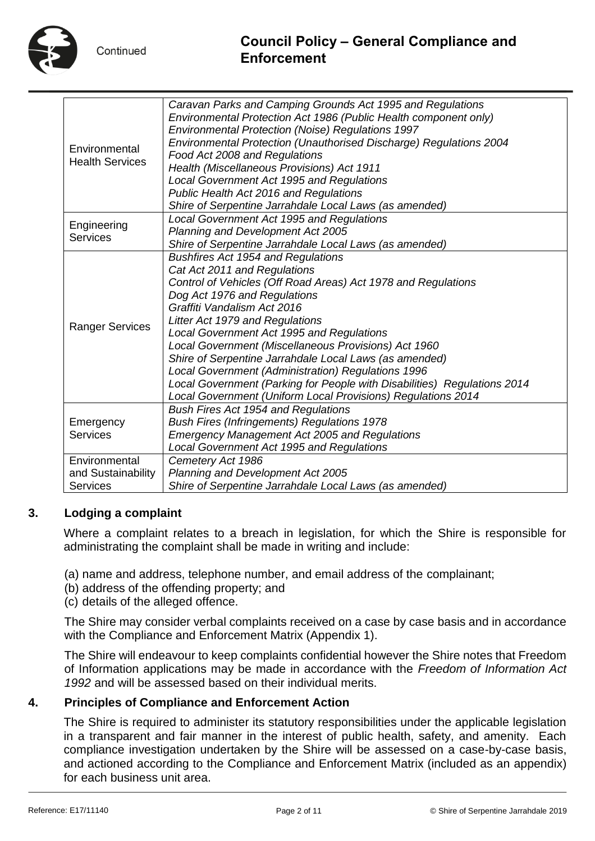

# **Council Policy – General Compliance and Enforcement**

| Environmental<br><b>Health Services</b>                | Caravan Parks and Camping Grounds Act 1995 and Regulations<br>Environmental Protection Act 1986 (Public Health component only)<br>Environmental Protection (Noise) Regulations 1997<br>Environmental Protection (Unauthorised Discharge) Regulations 2004<br>Food Act 2008 and Regulations<br>Health (Miscellaneous Provisions) Act 1911<br>Local Government Act 1995 and Regulations<br>Public Health Act 2016 and Regulations<br>Shire of Serpentine Jarrahdale Local Laws (as amended)                                                                                                                     |
|--------------------------------------------------------|---------------------------------------------------------------------------------------------------------------------------------------------------------------------------------------------------------------------------------------------------------------------------------------------------------------------------------------------------------------------------------------------------------------------------------------------------------------------------------------------------------------------------------------------------------------------------------------------------------------|
| Engineering<br><b>Services</b>                         | Local Government Act 1995 and Regulations<br>Planning and Development Act 2005<br>Shire of Serpentine Jarrahdale Local Laws (as amended)                                                                                                                                                                                                                                                                                                                                                                                                                                                                      |
| <b>Ranger Services</b>                                 | <b>Bushfires Act 1954 and Regulations</b><br>Cat Act 2011 and Regulations<br>Control of Vehicles (Off Road Areas) Act 1978 and Regulations<br>Dog Act 1976 and Regulations<br>Graffiti Vandalism Act 2016<br>Litter Act 1979 and Regulations<br>Local Government Act 1995 and Regulations<br>Local Government (Miscellaneous Provisions) Act 1960<br>Shire of Serpentine Jarrahdale Local Laws (as amended)<br>Local Government (Administration) Regulations 1996<br>Local Government (Parking for People with Disabilities) Regulations 2014<br>Local Government (Uniform Local Provisions) Regulations 2014 |
| Emergency<br><b>Services</b>                           | <b>Bush Fires Act 1954 and Regulations</b><br><b>Bush Fires (Infringements) Regulations 1978</b><br><b>Emergency Management Act 2005 and Regulations</b><br>Local Government Act 1995 and Regulations                                                                                                                                                                                                                                                                                                                                                                                                         |
| Environmental<br>and Sustainability<br><b>Services</b> | Cemetery Act 1986<br>Planning and Development Act 2005<br>Shire of Serpentine Jarrahdale Local Laws (as amended)                                                                                                                                                                                                                                                                                                                                                                                                                                                                                              |

#### **3. Lodging a complaint**

Where a complaint relates to a breach in legislation, for which the Shire is responsible for administrating the complaint shall be made in writing and include:

- (a) name and address, telephone number, and email address of the complainant;
- (b) address of the offending property; and
- (c) details of the alleged offence.

The Shire may consider verbal complaints received on a case by case basis and in accordance with the Compliance and Enforcement Matrix (Appendix 1).

The Shire will endeavour to keep complaints confidential however the Shire notes that Freedom of Information applications may be made in accordance with the *Freedom of Information Act 1992* and will be assessed based on their individual merits.

#### **4. Principles of Compliance and Enforcement Action**

The Shire is required to administer its statutory responsibilities under the applicable legislation in a transparent and fair manner in the interest of public health, safety, and amenity. Each compliance investigation undertaken by the Shire will be assessed on a case-by-case basis, and actioned according to the Compliance and Enforcement Matrix (included as an appendix) for each business unit area.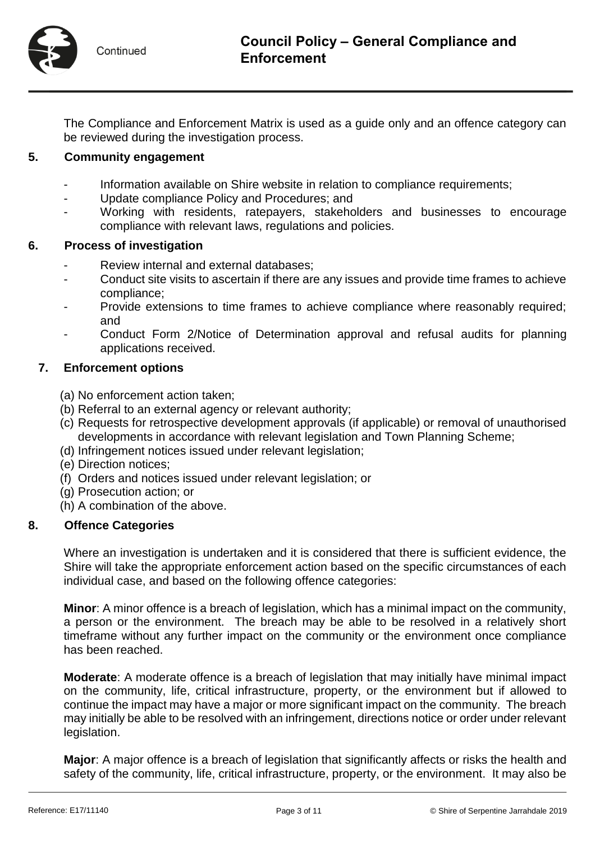

The Compliance and Enforcement Matrix is used as a guide only and an offence category can be reviewed during the investigation process.

## **5. Community engagement**

- Information available on Shire website in relation to compliance requirements;
- Update compliance Policy and Procedures; and
- Working with residents, ratepayers, stakeholders and businesses to encourage compliance with relevant laws, regulations and policies.

#### **6. Process of investigation**

- Review internal and external databases;
- Conduct site visits to ascertain if there are any issues and provide time frames to achieve compliance;
- Provide extensions to time frames to achieve compliance where reasonably required; and
- Conduct Form 2/Notice of Determination approval and refusal audits for planning applications received.

#### **7. Enforcement options**

- (a) No enforcement action taken;
- (b) Referral to an external agency or relevant authority;
- (c) Requests for retrospective development approvals (if applicable) or removal of unauthorised developments in accordance with relevant legislation and Town Planning Scheme;
- (d) Infringement notices issued under relevant legislation;
- (e) Direction notices;
- (f) Orders and notices issued under relevant legislation; or
- (g) Prosecution action; or
- (h) A combination of the above.

#### **8. Offence Categories**

Where an investigation is undertaken and it is considered that there is sufficient evidence, the Shire will take the appropriate enforcement action based on the specific circumstances of each individual case, and based on the following offence categories:

**Minor**: A minor offence is a breach of legislation, which has a minimal impact on the community, a person or the environment. The breach may be able to be resolved in a relatively short timeframe without any further impact on the community or the environment once compliance has been reached.

**Moderate**: A moderate offence is a breach of legislation that may initially have minimal impact on the community, life, critical infrastructure, property, or the environment but if allowed to continue the impact may have a major or more significant impact on the community. The breach may initially be able to be resolved with an infringement, directions notice or order under relevant legislation.

**Major**: A major offence is a breach of legislation that significantly affects or risks the health and safety of the community, life, critical infrastructure, property, or the environment. It may also be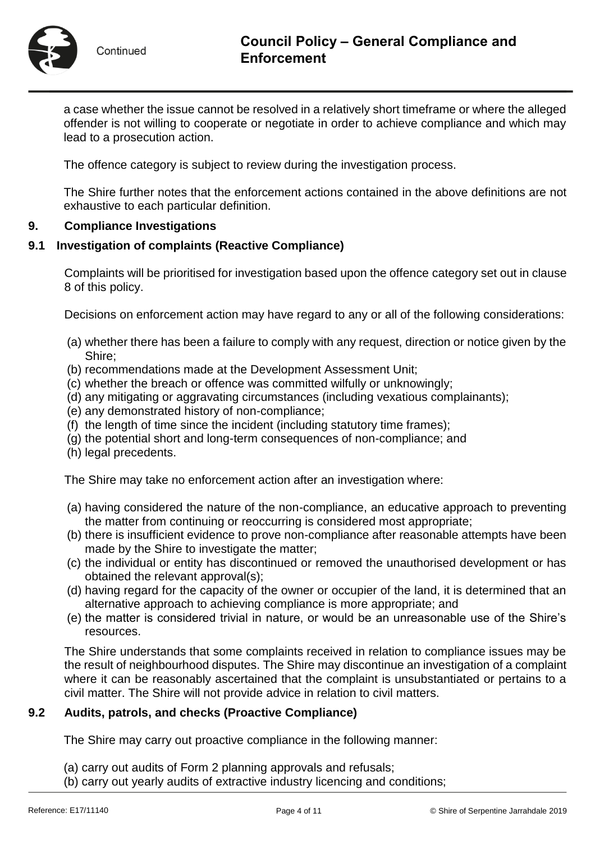

a case whether the issue cannot be resolved in a relatively short timeframe or where the alleged offender is not willing to cooperate or negotiate in order to achieve compliance and which may lead to a prosecution action.

The offence category is subject to review during the investigation process.

The Shire further notes that the enforcement actions contained in the above definitions are not exhaustive to each particular definition.

#### **9. Compliance Investigations**

#### **9.1 Investigation of complaints (Reactive Compliance)**

Complaints will be prioritised for investigation based upon the offence category set out in clause 8 of this policy.

Decisions on enforcement action may have regard to any or all of the following considerations:

- (a) whether there has been a failure to comply with any request, direction or notice given by the Shire;
- (b) recommendations made at the Development Assessment Unit;
- (c) whether the breach or offence was committed wilfully or unknowingly;
- (d) any mitigating or aggravating circumstances (including vexatious complainants);
- (e) any demonstrated history of non-compliance;
- (f) the length of time since the incident (including statutory time frames);
- (g) the potential short and long-term consequences of non-compliance; and
- (h) legal precedents.

The Shire may take no enforcement action after an investigation where:

- (a) having considered the nature of the non-compliance, an educative approach to preventing the matter from continuing or reoccurring is considered most appropriate;
- (b) there is insufficient evidence to prove non-compliance after reasonable attempts have been made by the Shire to investigate the matter;
- (c) the individual or entity has discontinued or removed the unauthorised development or has obtained the relevant approval(s);
- (d) having regard for the capacity of the owner or occupier of the land, it is determined that an alternative approach to achieving compliance is more appropriate; and
- (e) the matter is considered trivial in nature, or would be an unreasonable use of the Shire's resources.

The Shire understands that some complaints received in relation to compliance issues may be the result of neighbourhood disputes. The Shire may discontinue an investigation of a complaint where it can be reasonably ascertained that the complaint is unsubstantiated or pertains to a civil matter. The Shire will not provide advice in relation to civil matters.

#### **9.2 Audits, patrols, and checks (Proactive Compliance)**

The Shire may carry out proactive compliance in the following manner:

- (a) carry out audits of Form 2 planning approvals and refusals;
- (b) carry out yearly audits of extractive industry licencing and conditions;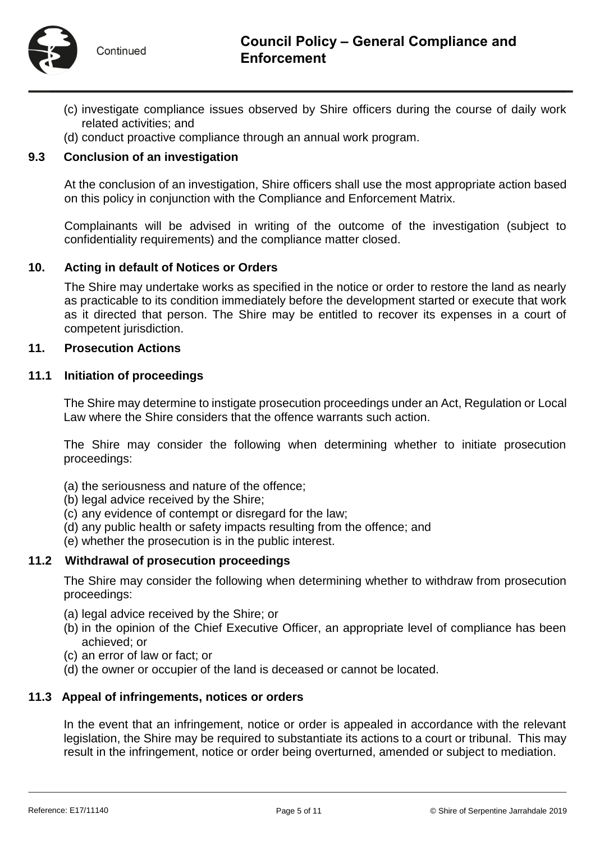

- (c) investigate compliance issues observed by Shire officers during the course of daily work related activities; and
- (d) conduct proactive compliance through an annual work program.

#### **9.3 Conclusion of an investigation**

At the conclusion of an investigation, Shire officers shall use the most appropriate action based on this policy in conjunction with the Compliance and Enforcement Matrix.

Complainants will be advised in writing of the outcome of the investigation (subject to confidentiality requirements) and the compliance matter closed.

#### **10. Acting in default of Notices or Orders**

The Shire may undertake works as specified in the notice or order to restore the land as nearly as practicable to its condition immediately before the development started or execute that work as it directed that person. The Shire may be entitled to recover its expenses in a court of competent jurisdiction.

#### **11. Prosecution Actions**

#### **11.1 Initiation of proceedings**

The Shire may determine to instigate prosecution proceedings under an Act, Regulation or Local Law where the Shire considers that the offence warrants such action.

The Shire may consider the following when determining whether to initiate prosecution proceedings:

- (a) the seriousness and nature of the offence;
- (b) legal advice received by the Shire;
- (c) any evidence of contempt or disregard for the law;
- (d) any public health or safety impacts resulting from the offence; and
- (e) whether the prosecution is in the public interest.

#### **11.2 Withdrawal of prosecution proceedings**

The Shire may consider the following when determining whether to withdraw from prosecution proceedings:

- (a) legal advice received by the Shire; or
- (b) in the opinion of the Chief Executive Officer, an appropriate level of compliance has been achieved; or
- (c) an error of law or fact; or
- (d) the owner or occupier of the land is deceased or cannot be located.

#### **11.3 Appeal of infringements, notices or orders**

In the event that an infringement, notice or order is appealed in accordance with the relevant legislation, the Shire may be required to substantiate its actions to a court or tribunal. This may result in the infringement, notice or order being overturned, amended or subject to mediation.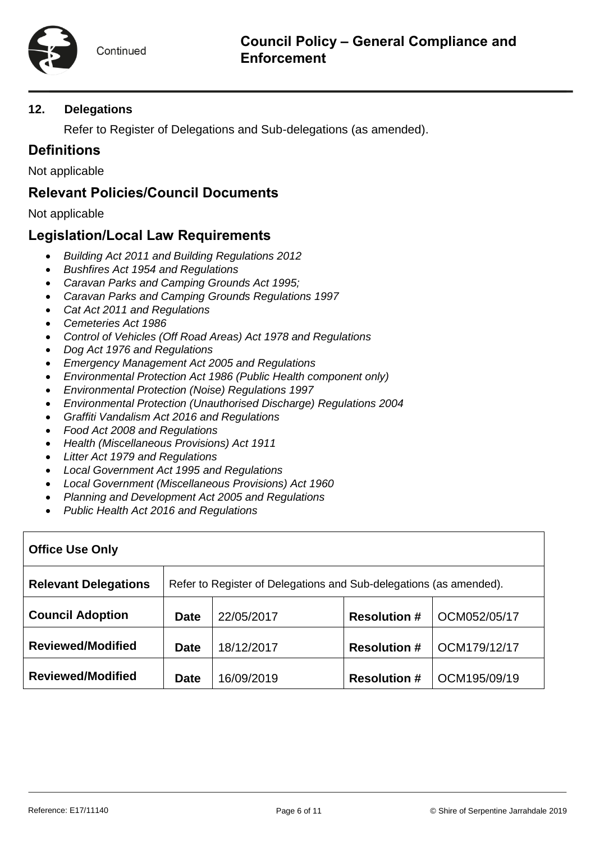## **12. Delegations**

Refer to Register of Delegations and Sub-delegations (as amended).

# **Definitions**

Not applicable

## **Relevant Policies/Council Documents**

Not applicable

# **Legislation/Local Law Requirements**

- *Building Act 2011 and Building Regulations 2012*
- *Bushfires Act 1954 and Regulations*
- *Caravan Parks and Camping Grounds Act 1995;*
- *Caravan Parks and Camping Grounds Regulations 1997*
- *Cat Act 2011 and Regulations*
- *Cemeteries Act 1986*
- *Control of Vehicles (Off Road Areas) Act 1978 and Regulations*
- *Dog Act 1976 and Regulations*
- *Emergency Management Act 2005 and Regulations*
- *Environmental Protection Act 1986 (Public Health component only)*
- *Environmental Protection (Noise) Regulations 1997*
- *Environmental Protection (Unauthorised Discharge) Regulations 2004*
- *Graffiti Vandalism Act 2016 and Regulations*
- *Food Act 2008 and Regulations*
- *Health (Miscellaneous Provisions) Act 1911*
- *Litter Act 1979 and Regulations*
- *Local Government Act 1995 and Regulations*
- *Local Government (Miscellaneous Provisions) Act 1960*
- *Planning and Development Act 2005 and Regulations*
- *Public Health Act 2016 and Regulations*

| <b>Office Use Only</b>      |                                                                    |            |                     |              |  |  |
|-----------------------------|--------------------------------------------------------------------|------------|---------------------|--------------|--|--|
| <b>Relevant Delegations</b> | Refer to Register of Delegations and Sub-delegations (as amended). |            |                     |              |  |  |
| <b>Council Adoption</b>     | <b>Date</b>                                                        | 22/05/2017 | <b>Resolution #</b> | OCM052/05/17 |  |  |
| <b>Reviewed/Modified</b>    | <b>Date</b>                                                        | 18/12/2017 | <b>Resolution #</b> | OCM179/12/17 |  |  |
| <b>Reviewed/Modified</b>    | <b>Date</b>                                                        | 16/09/2019 | <b>Resolution #</b> | OCM195/09/19 |  |  |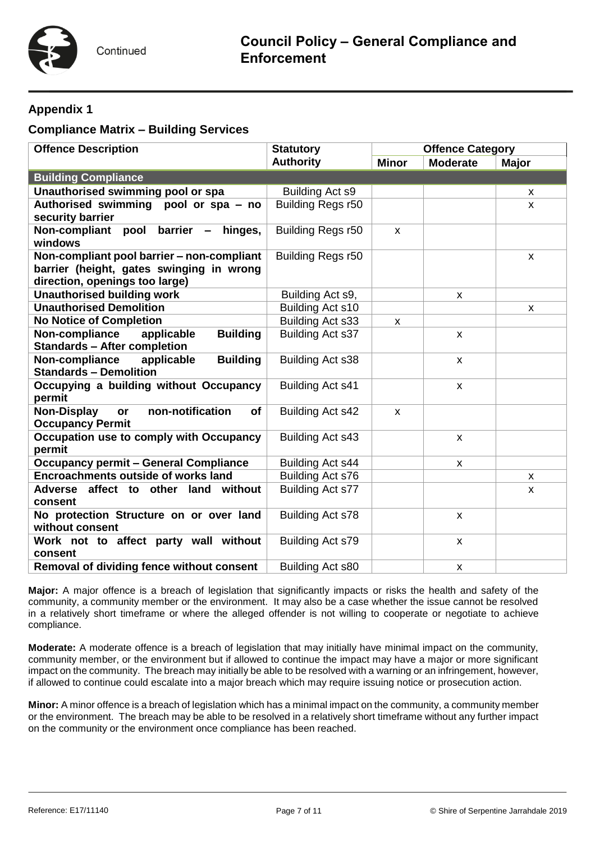## **Appendix 1**

## **Compliance Matrix – Building Services**

| <b>Offence Description</b>                                                       | <b>Statutory</b>        | <b>Offence Category</b> |                    |              |
|----------------------------------------------------------------------------------|-------------------------|-------------------------|--------------------|--------------|
|                                                                                  | <b>Authority</b>        | <b>Minor</b>            | <b>Moderate</b>    | <b>Major</b> |
| <b>Building Compliance</b>                                                       |                         |                         |                    |              |
| Unauthorised swimming pool or spa                                                | Building Act s9         |                         |                    | X            |
| <b>Authorised swimming</b><br>pool or spa - no                                   | Building Regs r50       |                         |                    | X            |
| security barrier                                                                 |                         |                         |                    |              |
| Non-compliant<br>pool<br>barrier<br>hinges,<br>windows                           | Building Regs r50       | $\mathsf{x}$            |                    |              |
| Non-compliant pool barrier - non-compliant                                       | Building Regs r50       |                         |                    | X            |
| barrier (height, gates swinging in wrong                                         |                         |                         |                    |              |
| direction, openings too large)                                                   |                         |                         |                    |              |
| <b>Unauthorised building work</b>                                                | Building Act s9,        |                         | X                  |              |
| <b>Unauthorised Demolition</b>                                                   | Building Act s10        |                         |                    | X            |
| <b>No Notice of Completion</b>                                                   | Building Act s33        | X                       |                    |              |
| Non-compliance<br><b>Building</b><br>applicable                                  | Building Act s37        |                         | $\mathsf{x}$       |              |
| <b>Standards - After completion</b>                                              |                         |                         |                    |              |
| Non-compliance<br><b>Building</b><br>applicable<br><b>Standards - Demolition</b> | Building Act s38        |                         | X                  |              |
| Occupying a building without Occupancy<br>permit                                 | Building Act s41        |                         | X                  |              |
| non-notification<br><b>Non-Display</b><br>of<br>or<br><b>Occupancy Permit</b>    | Building Act s42        | X                       |                    |              |
| Occupation use to comply with Occupancy<br>permit                                | Building Act s43        |                         | $\pmb{\chi}$       |              |
| <b>Occupancy permit - General Compliance</b>                                     | Building Act s44        |                         | X                  |              |
| <b>Encroachments outside of works land</b>                                       | Building Act s76        |                         |                    | X            |
| <b>Adverse</b><br>affect to other land<br>without                                | Building Act s77        |                         |                    | X            |
| consent                                                                          |                         |                         |                    |              |
| No protection Structure on or over land<br>without consent                       | Building Act s78        |                         | $\pmb{\chi}$       |              |
| Work not to affect party wall without                                            | <b>Building Act s79</b> |                         | $\pmb{\chi}$       |              |
| consent                                                                          |                         |                         |                    |              |
| Removal of dividing fence without consent                                        | Building Act s80        |                         | $\pmb{\mathsf{x}}$ |              |

**Major:** A major offence is a breach of legislation that significantly impacts or risks the health and safety of the community, a community member or the environment. It may also be a case whether the issue cannot be resolved in a relatively short timeframe or where the alleged offender is not willing to cooperate or negotiate to achieve compliance.

**Moderate:** A moderate offence is a breach of legislation that may initially have minimal impact on the community, community member, or the environment but if allowed to continue the impact may have a major or more significant impact on the community. The breach may initially be able to be resolved with a warning or an infringement, however, if allowed to continue could escalate into a major breach which may require issuing notice or prosecution action.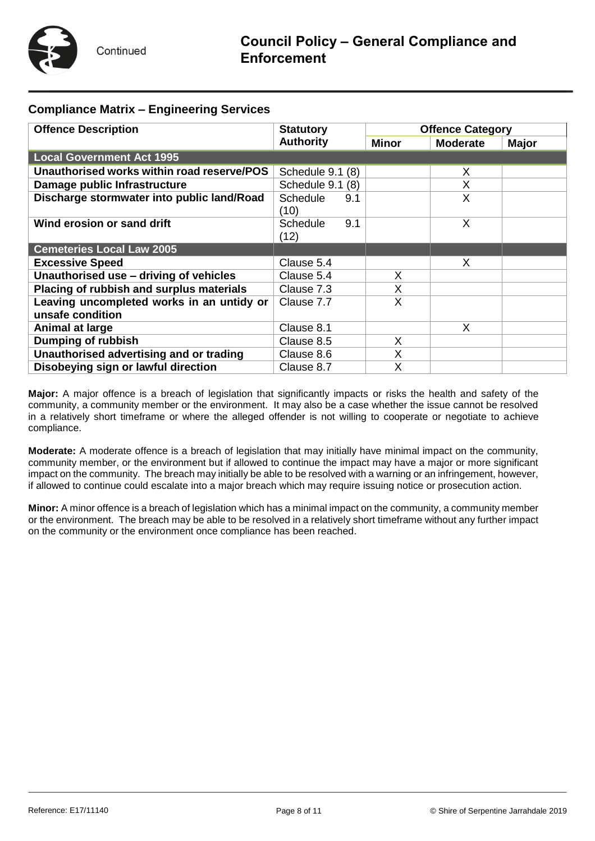

#### **Compliance Matrix – Engineering Services**

| <b>Offence Description</b>                 | <b>Statutory</b> | <b>Offence Category</b> |                 |              |
|--------------------------------------------|------------------|-------------------------|-----------------|--------------|
|                                            | <b>Authority</b> | <b>Minor</b>            | <b>Moderate</b> | <b>Major</b> |
| <b>Local Government Act 1995</b>           |                  |                         |                 |              |
| Unauthorised works within road reserve/POS | Schedule 9.1 (8) |                         | X               |              |
| Damage public Infrastructure               | Schedule 9.1 (8) |                         | X               |              |
| Discharge stormwater into public land/Road | Schedule<br>9.1  |                         | X               |              |
|                                            | (10)             |                         |                 |              |
| Wind erosion or sand drift                 | 9.1<br>Schedule  |                         | X               |              |
|                                            | (12)             |                         |                 |              |
| <b>Cemeteries Local Law 2005</b>           |                  |                         |                 |              |
| <b>Excessive Speed</b>                     | Clause 5.4       |                         | X               |              |
| Unauthorised use - driving of vehicles     | Clause 5.4       | X                       |                 |              |
| Placing of rubbish and surplus materials   | Clause 7.3       | X                       |                 |              |
| Leaving uncompleted works in an untidy or  | Clause 7.7       | X                       |                 |              |
| unsafe condition                           |                  |                         |                 |              |
| Animal at large                            | Clause 8.1       |                         | X               |              |
| Dumping of rubbish                         | Clause 8.5       | X                       |                 |              |
| Unauthorised advertising and or trading    | Clause 8.6       | X                       |                 |              |
| Disobeying sign or lawful direction        | Clause 8.7       | X                       |                 |              |

**Major:** A major offence is a breach of legislation that significantly impacts or risks the health and safety of the community, a community member or the environment. It may also be a case whether the issue cannot be resolved in a relatively short timeframe or where the alleged offender is not willing to cooperate or negotiate to achieve compliance.

**Moderate:** A moderate offence is a breach of legislation that may initially have minimal impact on the community, community member, or the environment but if allowed to continue the impact may have a major or more significant impact on the community. The breach may initially be able to be resolved with a warning or an infringement, however, if allowed to continue could escalate into a major breach which may require issuing notice or prosecution action.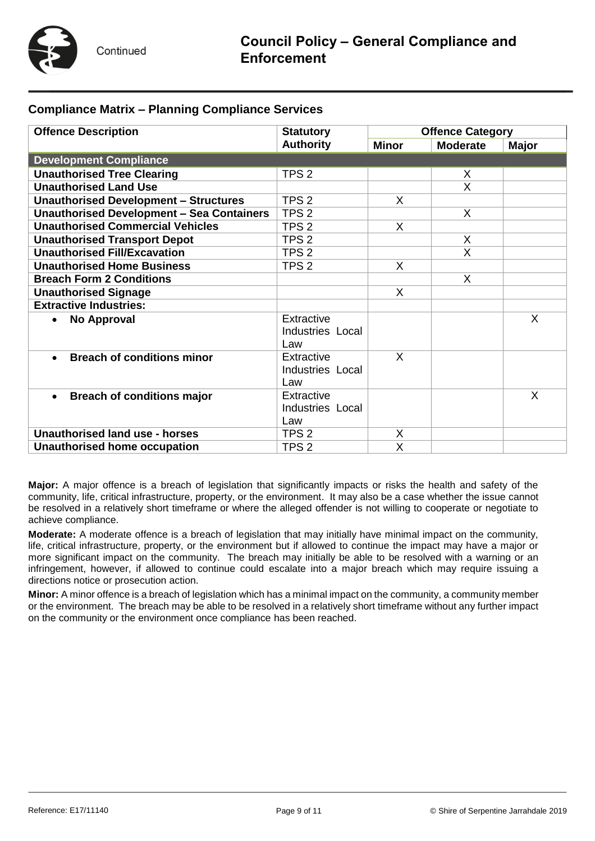

#### **Compliance Matrix – Planning Compliance Services**

| <b>Offence Description</b>                       | <b>Statutory</b> | <b>Offence Category</b> |                 |       |  |
|--------------------------------------------------|------------------|-------------------------|-----------------|-------|--|
|                                                  | <b>Authority</b> | <b>Minor</b>            | <b>Moderate</b> | Major |  |
| <b>Development Compliance</b>                    |                  |                         |                 |       |  |
| <b>Unauthorised Tree Clearing</b>                | TPS <sub>2</sub> |                         | X.              |       |  |
| <b>Unauthorised Land Use</b>                     |                  |                         | $\mathsf{X}$    |       |  |
| <b>Unauthorised Development - Structures</b>     | TPS <sub>2</sub> | X                       |                 |       |  |
| <b>Unauthorised Development - Sea Containers</b> | TPS <sub>2</sub> |                         | X               |       |  |
| <b>Unauthorised Commercial Vehicles</b>          | TPS <sub>2</sub> | X                       |                 |       |  |
| <b>Unauthorised Transport Depot</b>              | TPS <sub>2</sub> |                         | X               |       |  |
| <b>Unauthorised Fill/Excavation</b>              | TPS <sub>2</sub> |                         | $\mathsf{X}$    |       |  |
| <b>Unauthorised Home Business</b>                | TPS <sub>2</sub> | X                       |                 |       |  |
| <b>Breach Form 2 Conditions</b>                  |                  |                         | X               |       |  |
| <b>Unauthorised Signage</b>                      |                  | X                       |                 |       |  |
| <b>Extractive Industries:</b>                    |                  |                         |                 |       |  |
| No Approval<br>$\bullet$                         | Extractive       |                         |                 | X     |  |
|                                                  | Industries Local |                         |                 |       |  |
|                                                  | Law              |                         |                 |       |  |
| <b>Breach of conditions minor</b>                | Extractive       | $\mathsf{X}$            |                 |       |  |
|                                                  | Industries Local |                         |                 |       |  |
|                                                  | Law              |                         |                 |       |  |
| <b>Breach of conditions major</b><br>$\bullet$   | Extractive       |                         |                 | X     |  |
|                                                  | Industries Local |                         |                 |       |  |
|                                                  | Law              |                         |                 |       |  |
| Unauthorised land use - horses                   | TPS <sub>2</sub> | Χ                       |                 |       |  |
| Unauthorised home occupation                     | TPS <sub>2</sub> | X                       |                 |       |  |

**Major:** A major offence is a breach of legislation that significantly impacts or risks the health and safety of the community, life, critical infrastructure, property, or the environment. It may also be a case whether the issue cannot be resolved in a relatively short timeframe or where the alleged offender is not willing to cooperate or negotiate to achieve compliance.

**Moderate:** A moderate offence is a breach of legislation that may initially have minimal impact on the community, life, critical infrastructure, property, or the environment but if allowed to continue the impact may have a major or more significant impact on the community. The breach may initially be able to be resolved with a warning or an infringement, however, if allowed to continue could escalate into a major breach which may require issuing a directions notice or prosecution action.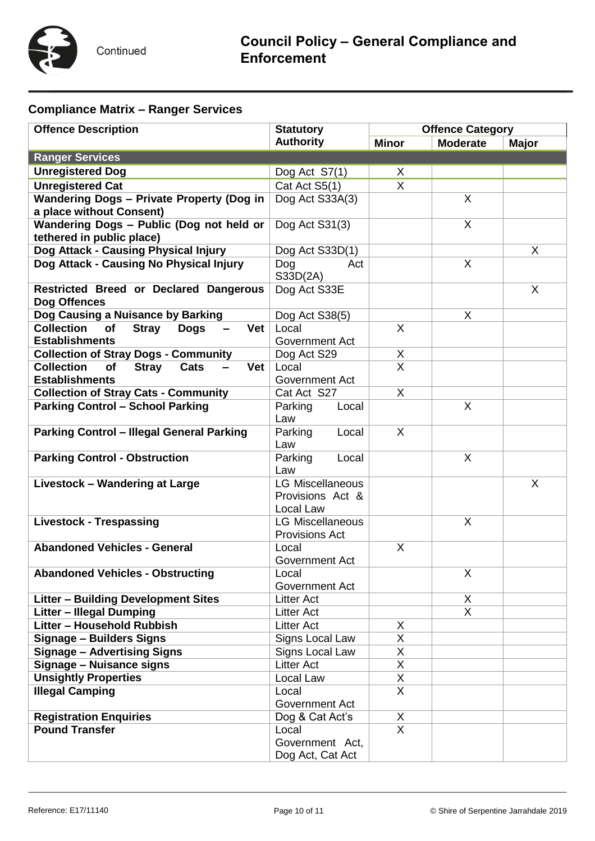

# **Compliance Matrix – Ranger Services**

| <b>Offence Description</b>                                           | <b>Statutory</b><br><b>Authority</b> | <b>Offence Category</b> |                 |              |  |
|----------------------------------------------------------------------|--------------------------------------|-------------------------|-----------------|--------------|--|
|                                                                      |                                      | <b>Minor</b>            | <b>Moderate</b> | <b>Major</b> |  |
| <b>Ranger Services</b>                                               |                                      |                         |                 |              |  |
| <b>Unregistered Dog</b>                                              | Dog Act S7(1)                        | X                       |                 |              |  |
| <b>Unregistered Cat</b>                                              | Cat Act S5(1)                        | $\mathsf{X}$            |                 |              |  |
| <b>Wandering Dogs - Private Property (Dog in</b>                     | Dog Act S33A(3)                      |                         | $\sf X$         |              |  |
| a place without Consent)                                             |                                      |                         |                 |              |  |
| Wandering Dogs - Public (Dog not held or                             | Dog Act S31(3)                       |                         | X               |              |  |
| tethered in public place)                                            |                                      |                         |                 |              |  |
| Dog Attack - Causing Physical Injury                                 | Dog Act S33D(1)                      |                         |                 | X            |  |
| Dog Attack - Causing No Physical Injury                              | Dog<br>Act                           |                         | $\mathsf{X}$    |              |  |
|                                                                      | S33D(2A)                             |                         |                 |              |  |
| Restricted Breed or Declared Dangerous                               | Dog Act S33E                         |                         |                 | X            |  |
| Dog Offences                                                         |                                      |                         |                 |              |  |
| Dog Causing a Nuisance by Barking                                    | Dog Act S38(5)                       |                         | $\mathsf{X}$    |              |  |
| <b>Collection</b><br>Vet<br><b>of</b><br><b>Stray</b><br><b>Dogs</b> | Local                                | $\times$                |                 |              |  |
| <b>Establishments</b>                                                | Government Act                       |                         |                 |              |  |
| <b>Collection of Stray Dogs - Community</b>                          | Dog Act S29                          | Χ                       |                 |              |  |
| <b>Collection</b><br><b>of</b><br><b>Stray</b><br>Cats<br>Vet        | Local                                | $\overline{\mathsf{x}}$ |                 |              |  |
| <b>Establishments</b>                                                | Government Act                       |                         |                 |              |  |
| <b>Collection of Stray Cats - Community</b>                          | Cat Act S27                          | $\mathsf{X}$            |                 |              |  |
| <b>Parking Control - School Parking</b>                              | Parking<br>Local                     |                         | $\sf X$         |              |  |
|                                                                      | Law                                  |                         |                 |              |  |
| <b>Parking Control - Illegal General Parking</b>                     | Parking<br>Local                     | X                       |                 |              |  |
|                                                                      | Law                                  |                         |                 |              |  |
| <b>Parking Control - Obstruction</b>                                 | Parking<br>Local                     |                         | X               |              |  |
|                                                                      | Law                                  |                         |                 |              |  |
| <b>Livestock - Wandering at Large</b>                                | <b>LG Miscellaneous</b>              |                         |                 | X            |  |
|                                                                      | Provisions Act &                     |                         |                 |              |  |
|                                                                      | Local Law                            |                         |                 |              |  |
| <b>Livestock - Trespassing</b>                                       | <b>LG Miscellaneous</b>              |                         | $\mathsf{X}$    |              |  |
|                                                                      | <b>Provisions Act</b>                |                         |                 |              |  |
| <b>Abandoned Vehicles - General</b>                                  | Local                                | X                       |                 |              |  |
|                                                                      | <b>Government Act</b>                |                         |                 |              |  |
| <b>Abandoned Vehicles - Obstructing</b>                              | Local                                |                         | X               |              |  |
|                                                                      | Government Act                       |                         |                 |              |  |
| <b>Litter - Building Development Sites</b>                           | <b>Litter Act</b>                    |                         | X               |              |  |
| <b>Litter - Illegal Dumping</b>                                      | <b>Litter Act</b>                    |                         | $\overline{X}$  |              |  |
| Litter - Household Rubbish                                           | <b>Litter Act</b>                    | X                       |                 |              |  |
| <b>Signage - Builders Signs</b>                                      | Signs Local Law                      | X                       |                 |              |  |
| <b>Signage - Advertising Signs</b>                                   | Signs Local Law                      | Χ                       |                 |              |  |
| Signage - Nuisance signs                                             | <b>Litter Act</b>                    | $\overline{X}$          |                 |              |  |
| <b>Unsightly Properties</b>                                          | Local Law                            | Χ                       |                 |              |  |
| <b>Illegal Camping</b>                                               | Local                                | $\overline{\mathsf{x}}$ |                 |              |  |
|                                                                      | Government Act                       |                         |                 |              |  |
| <b>Registration Enquiries</b>                                        | Dog & Cat Act's                      | X                       |                 |              |  |
| <b>Pound Transfer</b>                                                | Local                                | $\mathsf{X}$            |                 |              |  |
|                                                                      | Government Act,                      |                         |                 |              |  |
|                                                                      | Dog Act, Cat Act                     |                         |                 |              |  |